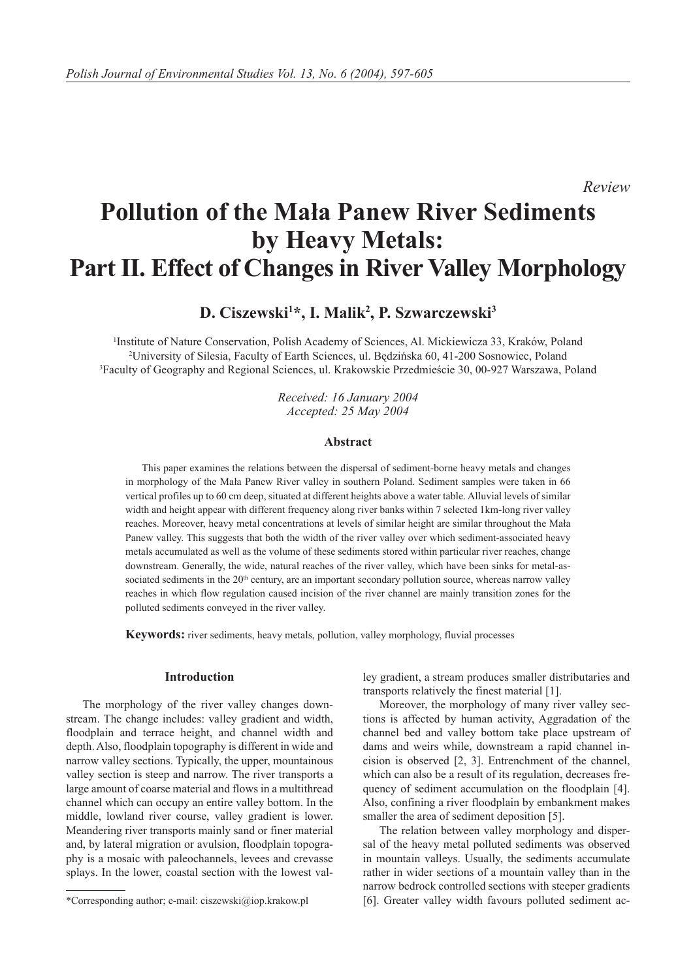*Review*

# **Pollution of the Mała Panew River Sediments by Heavy Metals: Part II. Effect of Changes in River Valley Morphology**

**D. Ciszewski1 \*, I. Malik2 , P. Szwarczewski3**

1 Institute of Nature Conservation, Polish Academy of Sciences, Al. Mickiewicza 33, Kraków, Poland 2 University of Silesia, Faculty of Earth Sciences, ul. Będzińska 60, 41-200 Sosnowiec, Poland 3 Faculty of Geography and Regional Sciences, ul. Krakowskie Przedmieście 30, 00-927 Warszawa, Poland

> *Received: 16 January 2004 Accepted: 25 May 2004*

#### **Abstract**

This paper examines the relations between the dispersal of sediment-borne heavy metals and changes in morphology of the Mała Panew River valley in southern Poland. Sediment samples were taken in 66 vertical profiles up to 60 cm deep, situated at different heights above a water table. Alluvial levels of similar width and height appear with different frequency along river banks within 7 selected 1km-long river valley reaches. Moreover, heavy metal concentrations at levels of similar height are similar throughout the Mała Panew valley. This suggests that both the width of the river valley over which sediment-associated heavy metals accumulated as well as the volume of these sediments stored within particular river reaches, change downstream. Generally, the wide, natural reaches of the river valley, which have been sinks for metal-associated sediments in the 20<sup>th</sup> century, are an important secondary pollution source, whereas narrow valley reaches in which flow regulation caused incision of the river channel are mainly transition zones for the polluted sediments conveyed in the river valley.

**Keywords:** river sediments, heavy metals, pollution, valley morphology, fluvial processes

# **Introduction**

The morphology of the river valley changes downstream. The change includes: valley gradient and width, floodplain and terrace height, and channel width and depth. Also, floodplain topography is different in wide and narrow valley sections. Typically, the upper, mountainous valley section is steep and narrow. The river transports a large amount of coarse material and flows in a multithread channel which can occupy an entire valley bottom. In the middle, lowland river course, valley gradient is lower. Meandering river transports mainly sand or finer material and, by lateral migration or avulsion, floodplain topography is a mosaic with paleochannels, levees and crevasse splays. In the lower, coastal section with the lowest valley gradient, a stream produces smaller distributaries and transports relatively the finest material [1].

Moreover, the morphology of many river valley sections is affected by human activity, Aggradation of the channel bed and valley bottom take place upstream of dams and weirs while, downstream a rapid channel incision is observed [2, 3]. Entrenchment of the channel, which can also be a result of its regulation, decreases frequency of sediment accumulation on the floodplain [4]. Also, confining a river floodplain by embankment makes smaller the area of sediment deposition [5].

The relation between valley morphology and dispersal of the heavy metal polluted sediments was observed in mountain valleys. Usually, the sediments accumulate rather in wider sections of a mountain valley than in the narrow bedrock controlled sections with steeper gradients [6]. Greater valley width favours polluted sediment ac-

<sup>\*</sup>Corresponding author; e-mail: ciszewski@iop.krakow.pl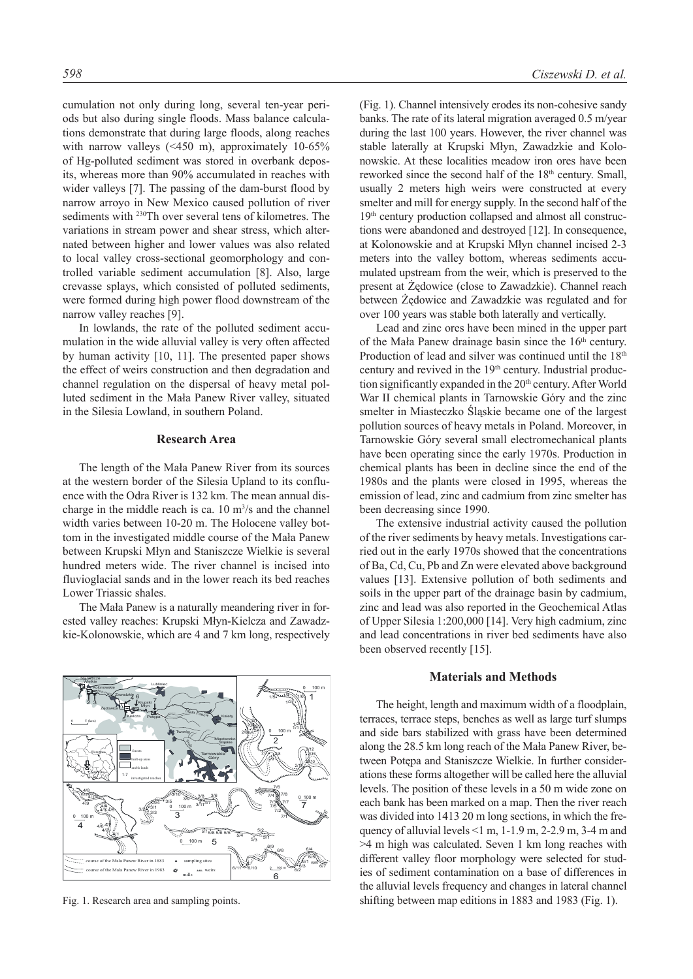cumulation not only during long, several ten-year periods but also during single floods. Mass balance calculations demonstrate that during large floods, along reaches with narrow valleys (<450 m), approximately 10-65% of Hg-polluted sediment was stored in overbank deposits, whereas more than 90% accumulated in reaches with wider valleys [7]. The passing of the dam-burst flood by narrow arroyo in New Mexico caused pollution of river sediments with 230Th over several tens of kilometres. The variations in stream power and shear stress, which alternated between higher and lower values was also related to local valley cross-sectional geomorphology and controlled variable sediment accumulation [8]. Also, large crevasse splays, which consisted of polluted sediments, were formed during high power flood downstream of the narrow valley reaches [9].

In lowlands, the rate of the polluted sediment accumulation in the wide alluvial valley is very often affected by human activity [10, 11]. The presented paper shows the effect of weirs construction and then degradation and channel regulation on the dispersal of heavy metal polluted sediment in the Mała Panew River valley, situated in the Silesia Lowland, in southern Poland.

#### **Research Area**

The length of the Mała Panew River from its sources at the western border of the Silesia Upland to its confluence with the Odra River is 132 km. The mean annual discharge in the middle reach is ca.  $10 \text{ m}^3/\text{s}$  and the channel width varies between 10-20 m. The Holocene valley bottom in the investigated middle course of the Mała Panew between Krupski Młyn and Staniszcze Wielkie is several hundred meters wide. The river channel is incised into fluvioglacial sands and in the lower reach its bed reaches Lower Triassic shales.

The Mała Panew is a naturally meandering river in forested valley reaches: Krupski Młyn-Kielcza and Zawadzkie-Kolonowskie, which are 4 and 7 km long, respectively



Fig. 1. Research area and sampling points.

(Fig. 1). Channel intensively erodes its non-cohesive sandy banks. The rate of its lateral migration averaged 0.5 m/year during the last 100 years. However, the river channel was stable laterally at Krupski Młyn, Zawadzkie and Kolonowskie. At these localities meadow iron ores have been reworked since the second half of the 18<sup>th</sup> century. Small, usually 2 meters high weirs were constructed at every smelter and mill for energy supply. In the second half of the 19<sup>th</sup> century production collapsed and almost all constructions were abandoned and destroyed [12]. In consequence, at Kolonowskie and at Krupski Młyn channel incised 2-3 meters into the valley bottom, whereas sediments accumulated upstream from the weir, which is preserved to the present at Żędowice (close to Zawadzkie). Channel reach between Żędowice and Zawadzkie was regulated and for over 100 years was stable both laterally and vertically.

Lead and zinc ores have been mined in the upper part of the Mała Panew drainage basin since the  $16<sup>th</sup>$  century. Production of lead and silver was continued until the 18<sup>th</sup> century and revived in the 19<sup>th</sup> century. Industrial production significantly expanded in the 20<sup>th</sup> century. After World War II chemical plants in Tarnowskie Góry and the zinc smelter in Miasteczko Śląskie became one of the largest pollution sources of heavy metals in Poland. Moreover, in Tarnowskie Góry several small electromechanical plants have been operating since the early 1970s. Production in chemical plants has been in decline since the end of the 1980s and the plants were closed in 1995, whereas the emission of lead, zinc and cadmium from zinc smelter has been decreasing since 1990.

The extensive industrial activity caused the pollution of the river sediments by heavy metals. Investigations carried out in the early 1970s showed that the concentrations of Ba, Cd, Cu, Pb and Zn were elevated above background values [13]. Extensive pollution of both sediments and soils in the upper part of the drainage basin by cadmium, zinc and lead was also reported in the Geochemical Atlas of Upper Silesia 1:200,000 [14]. Very high cadmium, zinc and lead concentrations in river bed sediments have also been observed recently [15].

# **Materials and Methods**

The height, length and maximum width of a floodplain, terraces, terrace steps, benches as well as large turf slumps and side bars stabilized with grass have been determined along the 28.5 km long reach of the Mała Panew River, between Potępa and Staniszcze Wielkie. In further considerations these forms altogether will be called here the alluvial levels. The position of these levels in a 50 m wide zone on each bank has been marked on a map. Then the river reach was divided into 1413 20 m long sections, in which the frequency of alluvial levels <1 m, 1-1.9 m, 2-2.9 m, 3-4 m and >4 m high was calculated. Seven 1 km long reaches with different valley floor morphology were selected for studies of sediment contamination on a base of differences in the alluvial levels frequency and changes in lateral channel shifting between map editions in 1883 and 1983 (Fig. 1).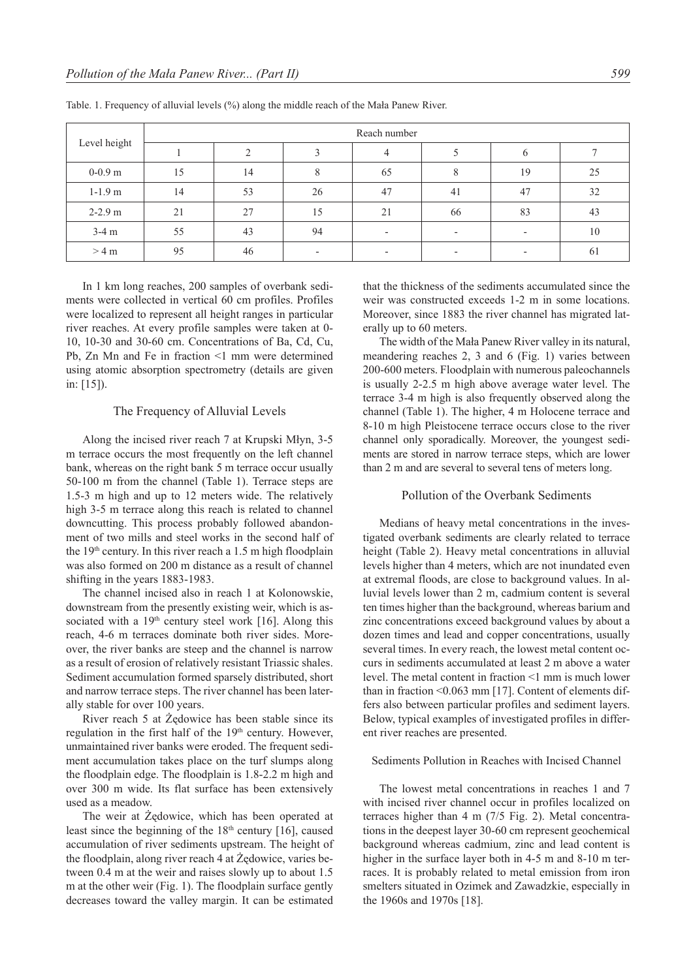| Level height | Reach number |    |    |                          |                          |                          |    |  |  |  |
|--------------|--------------|----|----|--------------------------|--------------------------|--------------------------|----|--|--|--|
|              |              |    |    | 4                        |                          | h                        |    |  |  |  |
| $0-0.9$ m    | 15           | 14 |    | 65                       |                          | 19                       | 25 |  |  |  |
| $1-1.9$ m    | 14           | 53 | 26 | 47                       | 41                       | 47                       | 32 |  |  |  |
| $2 - 2.9$ m  | 21           | 27 | 15 | 21                       | 66                       | 83                       | 43 |  |  |  |
| $3-4$ m      | 55           | 43 | 94 | $\overline{\phantom{a}}$ | $\overline{\phantom{a}}$ | $\overline{\phantom{0}}$ | 10 |  |  |  |
| $>4$ m       | 95           | 46 |    | $\overline{\phantom{0}}$ |                          |                          | 61 |  |  |  |

Table. 1. Frequency of alluvial levels (%) along the middle reach of the Mała Panew River.

In 1 km long reaches, 200 samples of overbank sediments were collected in vertical 60 cm profiles. Profiles were localized to represent all height ranges in particular river reaches. At every profile samples were taken at 0- 10, 10-30 and 30-60 cm. Concentrations of Ba, Cd, Cu, Pb, Zn Mn and Fe in fraction <1 mm were determined using atomic absorption spectrometry (details are given in: [15]).

## The Frequency of Alluvial Levels

Along the incised river reach 7 at Krupski Młyn, 3-5 m terrace occurs the most frequently on the left channel bank, whereas on the right bank 5 m terrace occur usually 50-100 m from the channel (Table 1). Terrace steps are 1.5-3 m high and up to 12 meters wide. The relatively high 3-5 m terrace along this reach is related to channel downcutting. This process probably followed abandonment of two mills and steel works in the second half of the  $19<sup>th</sup>$  century. In this river reach a 1.5 m high floodplain was also formed on 200 m distance as a result of channel shifting in the years 1883-1983.

The channel incised also in reach 1 at Kolonowskie, downstream from the presently existing weir, which is associated with a  $19<sup>th</sup>$  century steel work [16]. Along this reach, 4-6 m terraces dominate both river sides. Moreover, the river banks are steep and the channel is narrow as a result of erosion of relatively resistant Triassic shales. Sediment accumulation formed sparsely distributed, short and narrow terrace steps. The river channel has been laterally stable for over 100 years.

River reach 5 at Żędowice has been stable since its regulation in the first half of the  $19<sup>th</sup>$  century. However, unmaintained river banks were eroded. The frequent sediment accumulation takes place on the turf slumps along the floodplain edge. The floodplain is 1.8-2.2 m high and over 300 m wide. Its flat surface has been extensively used as a meadow.

The weir at Żędowice, which has been operated at least since the beginning of the  $18<sup>th</sup>$  century [16], caused accumulation of river sediments upstream. The height of the floodplain, along river reach 4 at Żędowice, varies between 0.4 m at the weir and raises slowly up to about 1.5 m at the other weir (Fig. 1). The floodplain surface gently decreases toward the valley margin. It can be estimated that the thickness of the sediments accumulated since the weir was constructed exceeds 1-2 m in some locations. Moreover, since 1883 the river channel has migrated laterally up to 60 meters.

The width of the Mała Panew River valley in its natural, meandering reaches 2, 3 and 6 (Fig. 1) varies between 200-600 meters. Floodplain with numerous paleochannels is usually 2-2.5 m high above average water level. The terrace 3-4 m high is also frequently observed along the channel (Table 1). The higher, 4 m Holocene terrace and 8-10 m high Pleistocene terrace occurs close to the river channel only sporadically. Moreover, the youngest sediments are stored in narrow terrace steps, which are lower than 2 m and are several to several tens of meters long.

#### Pollution of the Overbank Sediments

Medians of heavy metal concentrations in the investigated overbank sediments are clearly related to terrace height (Table 2). Heavy metal concentrations in alluvial levels higher than 4 meters, which are not inundated even at extremal floods, are close to background values. In alluvial levels lower than 2 m, cadmium content is several ten times higher than the background, whereas barium and zinc concentrations exceed background values by about a dozen times and lead and copper concentrations, usually several times. In every reach, the lowest metal content occurs in sediments accumulated at least 2 m above a water level. The metal content in fraction <1 mm is much lower than in fraction <0.063 mm [17]. Content of elements differs also between particular profiles and sediment layers. Below, typical examples of investigated profiles in different river reaches are presented.

# Sediments Pollution in Reaches with Incised Channel

The lowest metal concentrations in reaches 1 and 7 with incised river channel occur in profiles localized on terraces higher than 4 m (7/5 Fig. 2). Metal concentrations in the deepest layer 30-60 cm represent geochemical background whereas cadmium, zinc and lead content is higher in the surface layer both in 4-5 m and 8-10 m terraces. It is probably related to metal emission from iron smelters situated in Ozimek and Zawadzkie, especially in the 1960s and 1970s [18].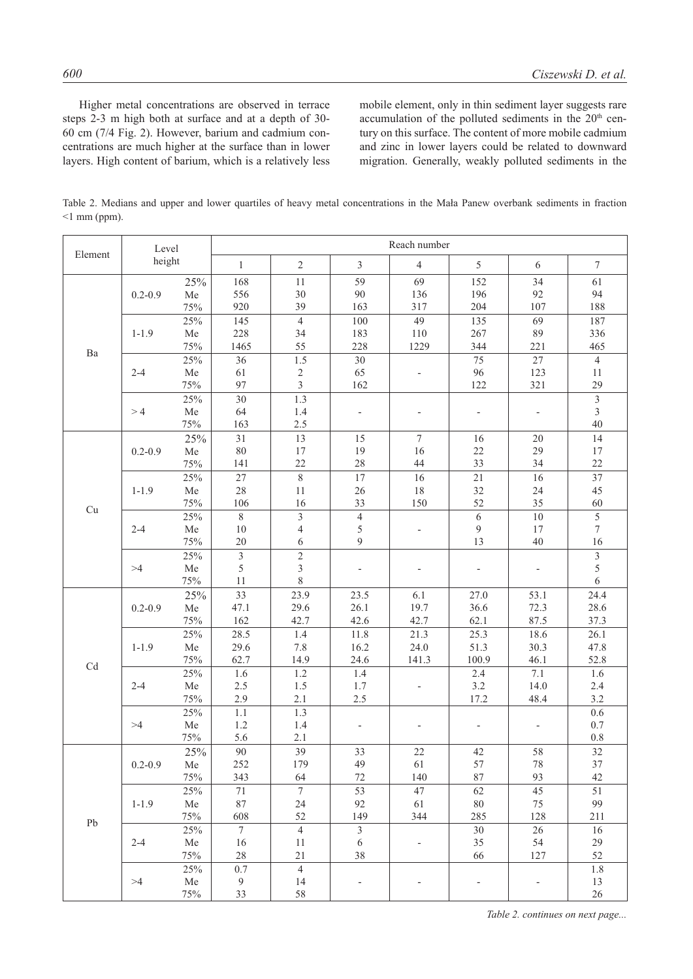Higher metal concentrations are observed in terrace steps 2-3 m high both at surface and at a depth of 30- 60 cm (7/4 Fig. 2). However, barium and cadmium concentrations are much higher at the surface than in lower layers. High content of barium, which is a relatively less mobile element, only in thin sediment layer suggests rare accumulation of the polluted sediments in the 20<sup>th</sup> century on this surface. The content of more mobile cadmium and zinc in lower layers could be related to downward migration. Generally, weakly polluted sediments in the

Table 2. Medians and upper and lower quartiles of heavy metal concentrations in the Mała Panew overbank sediments in fraction  $\leq$ 1 mm (ppm).

|                            | Level<br>height |            | Reach number    |                    |                          |                          |                          |                          |                         |  |
|----------------------------|-----------------|------------|-----------------|--------------------|--------------------------|--------------------------|--------------------------|--------------------------|-------------------------|--|
| Element                    |                 |            | $\mathbf{1}$    | $\overline{2}$     | $\mathfrak{Z}$           | $\overline{4}$           | 5                        | 6                        | $\tau$                  |  |
|                            |                 | 25%        | 168             | 11                 | 59                       | 69                       | 152                      | 34                       | 61                      |  |
|                            | $0.2 - 0.9$     | ${\rm Me}$ | 556             | 30                 | 90                       | 136                      | 196                      | 92                       | 94                      |  |
|                            |                 | 75%        | 920             | 39                 | 163                      | 317                      | 204                      | 107                      | 188                     |  |
|                            | $1 - 1.9$       | 25%        | 145             | $\overline{4}$     | 100                      | 49                       | 135                      | 69                       | 187                     |  |
|                            |                 | ${\rm Me}$ | 228             | 34                 | 183                      | 110                      | 267                      | 89                       | 336                     |  |
| Ba                         |                 | 75%        | 1465            | 55                 | 228                      | 1229                     | 344                      | 221                      | 465                     |  |
|                            |                 | 25%        | 36              | 1.5                | 30                       |                          | 75                       | 27                       | $\overline{4}$          |  |
|                            | $2 - 4$         | ${\rm Me}$ | 61              | $\sqrt{2}$         | 65                       | $\overline{\phantom{a}}$ | 96                       | 123                      | $11\,$                  |  |
|                            |                 | 75%        | 97              | $\overline{3}$     | 162                      |                          | 122                      | 321                      | 29                      |  |
|                            | >4              | 25%        | 30              | 1.3                |                          |                          |                          |                          | $\overline{\mathbf{3}}$ |  |
|                            |                 | ${\rm Me}$ | 64              | 1.4                | $\overline{\phantom{a}}$ | $\overline{\phantom{a}}$ | $\overline{\phantom{a}}$ | $\overline{\phantom{a}}$ | $\mathfrak{Z}$          |  |
|                            |                 | $75\%$     | 163             | 2.5                |                          |                          |                          |                          | 40                      |  |
|                            |                 | 25%        | 31              | 13                 | 15                       | $7\phantom{.0}$          | 16                       | 20                       | 14                      |  |
|                            | $0.2 - 0.9$     | ${\rm Me}$ | $80\,$          | 17                 | 19                       | 16                       | $22\,$                   | 29                       | $17\,$                  |  |
|                            |                 | 75%        | 141             | 22                 | $28\,$                   | 44                       | 33                       | 34                       | 22                      |  |
|                            |                 | 25%        | 27              | $\overline{\bf 8}$ | 17                       | 16                       | 21                       | 16                       | 37                      |  |
|                            | $1 - 1.9$       | ${\rm Me}$ | 28              | 11                 | 26                       | $18\,$                   | 32                       | 24                       | 45                      |  |
|                            |                 | $75\%$     | 106             | 16                 | 33                       | 150                      | 52                       | 35                       | 60                      |  |
| Cu                         |                 | 25%        | $8\,$           | $\mathfrak{Z}$     | $\overline{4}$           |                          | 6                        | $10\,$                   | $\sqrt{5}$              |  |
|                            | $2 - 4$         | ${\rm Me}$ | 10              | $\overline{4}$     | 5                        | $\overline{\phantom{a}}$ | $\mathfrak{g}$           | 17                       | $\tau$                  |  |
|                            |                 | 75%        | 20              | 6                  | 9                        |                          | 13                       | 40                       | 16                      |  |
|                            | >4              | $25\%$     | $\overline{3}$  | $\sqrt{2}$         |                          |                          |                          |                          | $\overline{3}$          |  |
|                            |                 | ${\rm Me}$ | 5               | $\sqrt{3}$         | $\overline{\phantom{a}}$ | $\overline{\phantom{a}}$ | $\overline{\phantom{0}}$ | $\overline{\phantom{a}}$ | 5                       |  |
|                            |                 | $75\%$     | 11              | $8\,$              |                          |                          |                          |                          | 6                       |  |
|                            | $0.2 - 0.9$     | 25%        | 33              | 23.9               | 23.5                     | 6.1                      | 27.0                     | 53.1                     | 24.4                    |  |
|                            |                 | ${\rm Me}$ | 47.1            | 29.6               | 26.1                     | 19.7                     | 36.6                     | 72.3                     | 28.6                    |  |
|                            |                 | 75%        | 162             | 42.7               | 42.6                     | 42.7                     | 62.1                     | 87.5                     | 37.3                    |  |
|                            |                 | 25%        | 28.5            | 1.4                | 11.8                     | 21.3                     | 25.3                     | 18.6                     | 26.1                    |  |
|                            | $1 - 1.9$       | ${\rm Me}$ | 29.6            | 7.8                | 16.2                     | 24.0                     | 51.3                     | 30.3                     | 47.8                    |  |
|                            |                 | 75%        | 62.7            | 14.9               | 24.6                     | 141.3                    | 100.9                    | 46.1                     | 52.8                    |  |
| $\ensuremath{\mathrm{Cd}}$ |                 | 25%        | 1.6             | $1.2\,$            | 1.4                      |                          | 2.4                      | 7.1                      | 1.6                     |  |
|                            | $2 - 4$         | ${\rm Me}$ | 2.5             | 1.5                | 1.7                      | $\overline{\phantom{a}}$ | 3.2                      | 14.0                     | 2.4                     |  |
|                            |                 | 75%        | 2.9             | 2.1                | 2.5                      |                          | 17.2                     | 48.4                     | 3.2                     |  |
|                            | >4              | 25%        | $1.1\,$         | 1.3                |                          |                          |                          |                          | $0.6\,$                 |  |
|                            |                 | ${\rm Me}$ | 1.2             | 1.4                | $\overline{\phantom{a}}$ | $\overline{\phantom{a}}$ | $\overline{\phantom{0}}$ |                          | $0.7\,$                 |  |
|                            |                 | 75%        | 5.6             | 2.1                |                          |                          |                          |                          | $0.8\,$                 |  |
|                            | $0.2 - 0.9$     | 25%        | 90              | 39                 | 33                       | 22                       | 42                       | 58                       | 32                      |  |
|                            |                 | Me         | 252             | 179                | 49                       | 61                       | 57                       | 78                       | $37\,$                  |  |
|                            |                 | 75%        | 343             | 64                 | $72\,$                   | 140                      | $87\,$                   | 93                       | 42                      |  |
|                            | $1 - 1.9$       | 25%        | $71\,$          | $\overline{7}$     | 53                       | 47                       | 62                       | 45                       | 51                      |  |
| ${\rm Pb}$                 |                 | Me         | $87\,$          | 24                 | 92                       | 61                       | $80\,$                   | 75                       | 99                      |  |
|                            |                 | 75%        | 608             | 52                 | 149                      | 344                      | 285                      | 128                      | 211                     |  |
|                            | $2 - 4$         | 25%        | $7\phantom{.0}$ | $\overline{4}$     | $\overline{3}$           |                          | 30                       | 26                       | 16                      |  |
|                            |                 | ${\rm Me}$ | 16              | 11                 | 6                        | $\overline{\phantom{a}}$ | 35                       | 54                       | 29                      |  |
|                            |                 | $75\%$     | $28\,$          | 21                 | 38                       |                          | 66                       | 127                      | 52                      |  |
|                            |                 | 25%        | $0.7\,$         | $\overline{4}$     |                          |                          |                          |                          | 1.8                     |  |
|                            | >4              | Me         | 9               | 14                 |                          |                          |                          |                          | 13                      |  |
|                            |                 | 75%        | 33              | $58\,$             |                          |                          |                          |                          | $26\,$                  |  |

*Table 2. continues on next page...*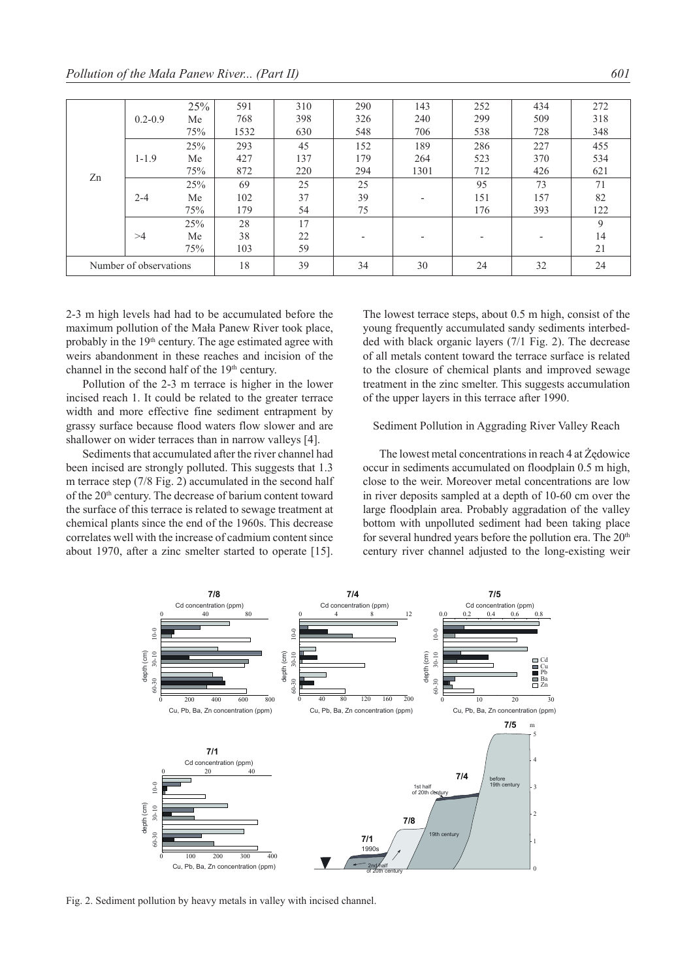|                        |             | 25% | 591  | 310 | 290                      | 143                      | 252                      | 434 | 272 |
|------------------------|-------------|-----|------|-----|--------------------------|--------------------------|--------------------------|-----|-----|
| Zn                     | $0.2 - 0.9$ |     |      |     |                          |                          |                          |     |     |
|                        |             | Me  | 768  | 398 | 326                      | 240                      | 299                      | 509 | 318 |
|                        |             | 75% | 1532 | 630 | 548                      | 706                      | 538                      | 728 | 348 |
|                        | $1 - 1.9$   | 25% | 293  | 45  | 152                      | 189                      | 286                      | 227 | 455 |
|                        |             | Me  | 427  | 137 | 179                      | 264                      | 523                      | 370 | 534 |
|                        |             | 75% | 872  | 220 | 294                      | 1301                     | 712                      | 426 | 621 |
|                        | $2 - 4$     | 25% | 69   | 25  | 25                       |                          | 95                       | 73  | 71  |
|                        |             | Me  | 102  | 37  | 39                       | $\overline{\phantom{0}}$ | 151                      | 157 | 82  |
|                        |             | 75% | 179  | 54  | 75                       |                          | 176                      | 393 | 122 |
|                        | >4          | 25% | 28   | 17  |                          |                          |                          |     | 9   |
|                        |             | Me  | 38   | 22  | $\overline{\phantom{0}}$ | $\overline{\phantom{0}}$ | $\overline{\phantom{a}}$ | -   | 14  |
|                        |             | 75% | 103  | 59  |                          |                          |                          |     | 21  |
| Number of observations |             | 18  | 39   | 34  | 30                       | 24                       | 32                       | 24  |     |

2-3 m high levels had had to be accumulated before the maximum pollution of the Mała Panew River took place, probably in the  $19<sup>th</sup>$  century. The age estimated agree with weirs abandonment in these reaches and incision of the channel in the second half of the 19<sup>th</sup> century.

Pollution of the 2-3 m terrace is higher in the lower incised reach 1. It could be related to the greater terrace width and more effective fine sediment entrapment by grassy surface because flood waters flow slower and are shallower on wider terraces than in narrow valleys [4].

Sediments that accumulated after the river channel had been incised are strongly polluted. This suggests that 1.3 m terrace step (7/8 Fig. 2) accumulated in the second half of the 20<sup>th</sup> century. The decrease of barium content toward the surface of this terrace is related to sewage treatment at chemical plants since the end of the 1960s. This decrease correlates well with the increase of cadmium content since about 1970, after a zinc smelter started to operate [15]. The lowest terrace steps, about 0.5 m high, consist of the young frequently accumulated sandy sediments interbedded with black organic layers (7/1 Fig. 2). The decrease of all metals content toward the terrace surface is related to the closure of chemical plants and improved sewage treatment in the zinc smelter. This suggests accumulation of the upper layers in this terrace after 1990.

#### Sediment Pollution in Aggrading River Valley Reach

The lowest metal concentrations in reach 4 at Żędowice occur in sediments accumulated on floodplain 0.5 m high, close to the weir. Moreover metal concentrations are low in river deposits sampled at a depth of 10-60 cm over the large floodplain area. Probably aggradation of the valley bottom with unpolluted sediment had been taking place for several hundred years before the pollution era. The  $20<sup>th</sup>$ century river channel adjusted to the long-existing weir



Fig. 2. Sediment pollution by heavy metals in valley with incised channel.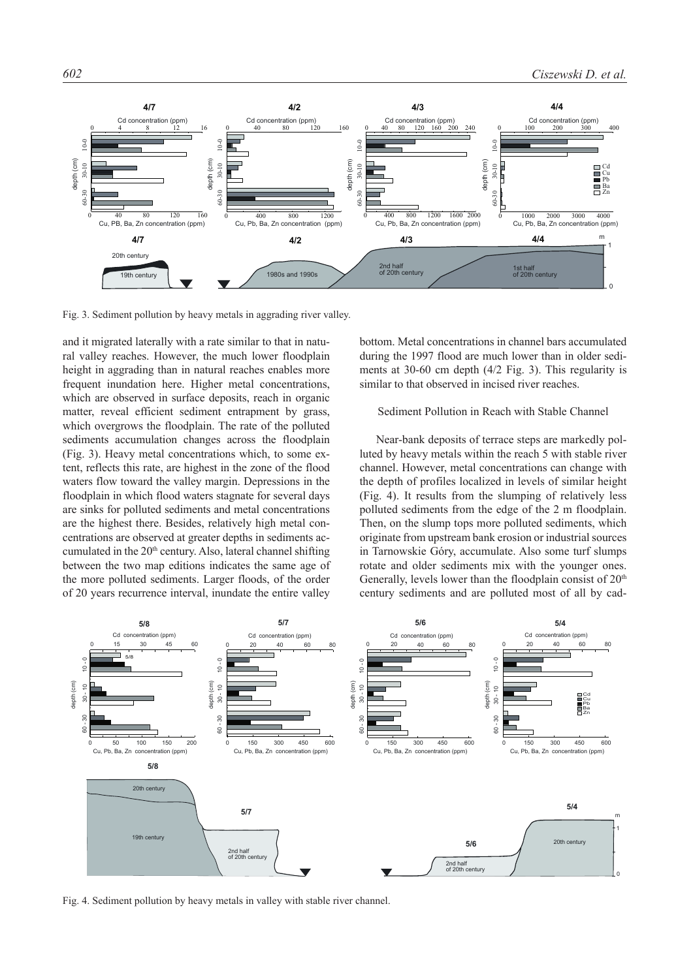

Fig. 3. Sediment pollution by heavy metals in aggrading river valley.

and it migrated laterally with a rate similar to that in natural valley reaches. However, the much lower floodplain height in aggrading than in natural reaches enables more frequent inundation here. Higher metal concentrations, which are observed in surface deposits, reach in organic matter, reveal efficient sediment entrapment by grass, which overgrows the floodplain. The rate of the polluted sediments accumulation changes across the floodplain (Fig. 3). Heavy metal concentrations which, to some extent, reflects this rate, are highest in the zone of the flood waters flow toward the valley margin. Depressions in the floodplain in which flood waters stagnate for several days are sinks for polluted sediments and metal concentrations are the highest there. Besides, relatively high metal concentrations are observed at greater depths in sediments accumulated in the  $20<sup>th</sup>$  century. Also, lateral channel shifting between the two map editions indicates the same age of the more polluted sediments. Larger floods, of the order of 20 years recurrence interval, inundate the entire valley

bottom. Metal concentrations in channel bars accumulated during the 1997 flood are much lower than in older sediments at 30-60 cm depth (4/2 Fig. 3). This regularity is similar to that observed in incised river reaches.

# Sediment Pollution in Reach with Stable Channel

Near-bank deposits of terrace steps are markedly polluted by heavy metals within the reach 5 with stable river channel. However, metal concentrations can change with the depth of profiles localized in levels of similar height (Fig. 4). It results from the slumping of relatively less polluted sediments from the edge of the 2 m floodplain. Then, on the slump tops more polluted sediments, which originate from upstream bank erosion or industrial sources in Tarnowskie Góry, accumulate. Also some turf slumps rotate and older sediments mix with the younger ones. Generally, levels lower than the floodplain consist of 20<sup>th</sup> century sediments and are polluted most of all by cad-



Fig. 4. Sediment pollution by heavy metals in valley with stable river channel.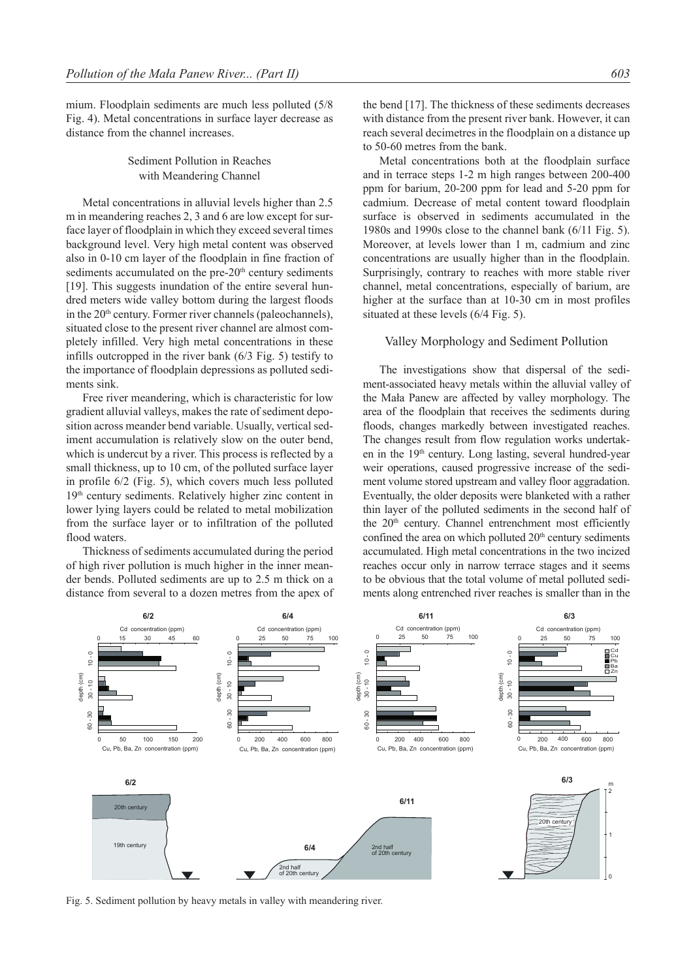mium. Floodplain sediments are much less polluted (5/8 Fig. 4). Metal concentrations in surface layer decrease as distance from the channel increases.

> Sediment Pollution in Reaches with Meandering Channel

Metal concentrations in alluvial levels higher than 2.5 m in meandering reaches 2, 3 and 6 are low except for surface layer of floodplain in which they exceed several times background level. Very high metal content was observed also in 0-10 cm layer of the floodplain in fine fraction of sediments accumulated on the pre-20<sup>th</sup> century sediments [19]. This suggests inundation of the entire several hundred meters wide valley bottom during the largest floods in the  $20<sup>th</sup>$  century. Former river channels (paleochannels), situated close to the present river channel are almost completely infilled. Very high metal concentrations in these infills outcropped in the river bank (6/3 Fig. 5) testify to the importance of floodplain depressions as polluted sediments sink.

Free river meandering, which is characteristic for low gradient alluvial valleys, makes the rate of sediment deposition across meander bend variable. Usually, vertical sediment accumulation is relatively slow on the outer bend, which is undercut by a river. This process is reflected by a small thickness, up to 10 cm, of the polluted surface layer in profile 6/2 (Fig. 5), which covers much less polluted 19th century sediments. Relatively higher zinc content in lower lying layers could be related to metal mobilization from the surface layer or to infiltration of the polluted flood waters.

Thickness of sediments accumulated during the period of high river pollution is much higher in the inner meander bends. Polluted sediments are up to 2.5 m thick on a distance from several to a dozen metres from the apex of the bend [17]. The thickness of these sediments decreases with distance from the present river bank. However, it can reach several decimetres in the floodplain on a distance up to 50-60 metres from the bank.

Metal concentrations both at the floodplain surface and in terrace steps 1-2 m high ranges between 200-400 ppm for barium, 20-200 ppm for lead and 5-20 ppm for cadmium. Decrease of metal content toward floodplain surface is observed in sediments accumulated in the 1980s and 1990s close to the channel bank (6/11 Fig. 5). Moreover, at levels lower than 1 m, cadmium and zinc concentrations are usually higher than in the floodplain. Surprisingly, contrary to reaches with more stable river channel, metal concentrations, especially of barium, are higher at the surface than at 10-30 cm in most profiles situated at these levels (6/4 Fig. 5).

## Valley Morphology and Sediment Pollution

The investigations show that dispersal of the sediment-associated heavy metals within the alluvial valley of the Mała Panew are affected by valley morphology. The area of the floodplain that receives the sediments during floods, changes markedly between investigated reaches. The changes result from flow regulation works undertaken in the  $19<sup>th</sup>$  century. Long lasting, several hundred-year weir operations, caused progressive increase of the sediment volume stored upstream and valley floor aggradation. Eventually, the older deposits were blanketed with a rather thin layer of the polluted sediments in the second half of the  $20<sup>th</sup>$  century. Channel entrenchment most efficiently confined the area on which polluted 20<sup>th</sup> century sediments accumulated. High metal concentrations in the two incized reaches occur only in narrow terrace stages and it seems to be obvious that the total volume of metal polluted sediments along entrenched river reaches is smaller than in the



Fig. 5. Sediment pollution by heavy metals in valley with meandering river.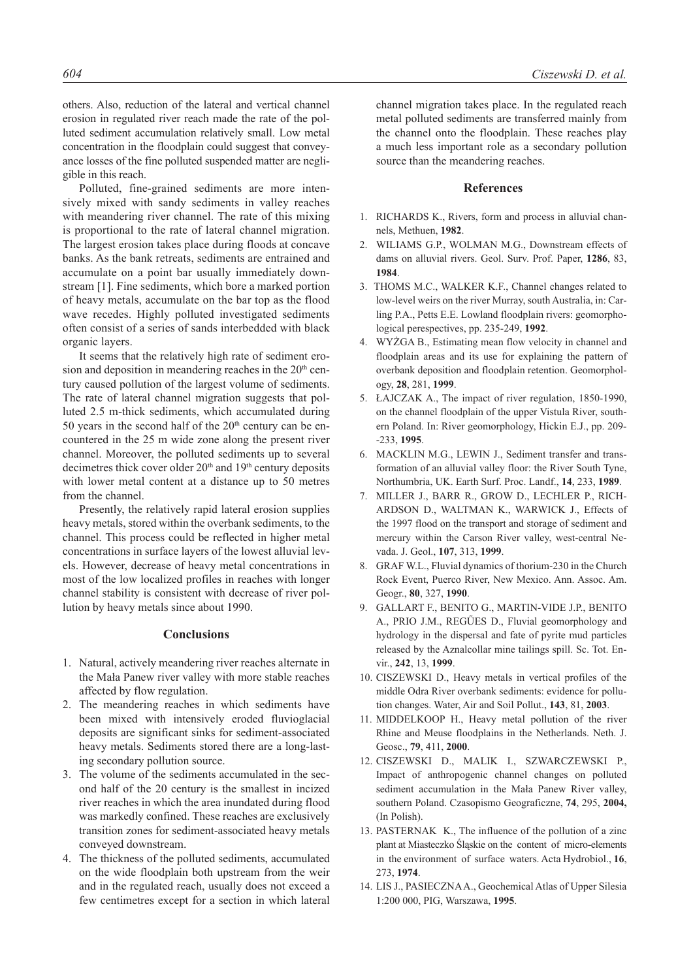others. Also, reduction of the lateral and vertical channel erosion in regulated river reach made the rate of the polluted sediment accumulation relatively small. Low metal concentration in the floodplain could suggest that conveyance losses of the fine polluted suspended matter are negligible in this reach.

Polluted, fine-grained sediments are more intensively mixed with sandy sediments in valley reaches with meandering river channel. The rate of this mixing is proportional to the rate of lateral channel migration. The largest erosion takes place during floods at concave banks. As the bank retreats, sediments are entrained and accumulate on a point bar usually immediately downstream [1]. Fine sediments, which bore a marked portion of heavy metals, accumulate on the bar top as the flood wave recedes. Highly polluted investigated sediments often consist of a series of sands interbedded with black organic layers.

It seems that the relatively high rate of sediment erosion and deposition in meandering reaches in the  $20<sup>th</sup>$  century caused pollution of the largest volume of sediments. The rate of lateral channel migration suggests that polluted 2.5 m-thick sediments, which accumulated during 50 years in the second half of the  $20<sup>th</sup>$  century can be encountered in the 25 m wide zone along the present river channel. Moreover, the polluted sediments up to several decimetres thick cover older 20<sup>th</sup> and 19<sup>th</sup> century deposits with lower metal content at a distance up to 50 metres from the channel.

Presently, the relatively rapid lateral erosion supplies heavy metals, stored within the overbank sediments, to the channel. This process could be reflected in higher metal concentrations in surface layers of the lowest alluvial levels. However, decrease of heavy metal concentrations in most of the low localized profiles in reaches with longer channel stability is consistent with decrease of river pollution by heavy metals since about 1990.

## **Conclusions**

- 1. Natural, actively meandering river reaches alternate in the Mała Panew river valley with more stable reaches affected by flow regulation.
- 2. The meandering reaches in which sediments have been mixed with intensively eroded fluvioglacial deposits are significant sinks for sediment-associated heavy metals. Sediments stored there are a long-lasting secondary pollution source.
- 3. The volume of the sediments accumulated in the second half of the 20 century is the smallest in incized river reaches in which the area inundated during flood was markedly confined. These reaches are exclusively transition zones for sediment-associated heavy metals conveyed downstream.
- 4. The thickness of the polluted sediments, accumulated on the wide floodplain both upstream from the weir and in the regulated reach, usually does not exceed a few centimetres except for a section in which lateral

channel migration takes place. In the regulated reach metal polluted sediments are transferred mainly from the channel onto the floodplain. These reaches play a much less important role as a secondary pollution source than the meandering reaches.

#### **References**

- 1. RICHARDS K., Rivers, form and process in alluvial channels, Methuen, **1982**.
- 2. WILIAMS G.P., WOLMAN M.G., Downstream effects of dams on alluvial rivers. Geol. Surv. Prof. Paper, **1286**, 83, **1984**.
- 3. THOMS M.C., WALKER K.F., Channel changes related to low-level weirs on the river Murray, south Australia, in: Carling P.A., Petts E.E. Lowland floodplain rivers: geomorphological perespectives, pp. 235-249, **1992**.
- 4. WYŻGA B., Estimating mean flow velocity in channel and floodplain areas and its use for explaining the pattern of overbank deposition and floodplain retention. Geomorphology, **28**, 281, **1999**.
- 5. ŁAJCZAK A., The impact of river regulation, 1850-1990, on the channel floodplain of the upper Vistula River, southern Poland. In: River geomorphology, Hickin E.J., pp. 209- -233, **1995**.
- 6. MACKLIN M.G., LEWIN J., Sediment transfer and transformation of an alluvial valley floor: the River South Tyne, Northumbria, UK. Earth Surf. Proc. Landf., **14**, 233, **1989**.
- 7. MILLER J., BARR R., GROW D., LECHLER P., RICH-ARDSON D., WALTMAN K., WARWICK J., Effects of the 1997 flood on the transport and storage of sediment and mercury within the Carson River valley, west-central Nevada. J. Geol., **107**, 313, **1999**.
- 8. GRAF W.L., Fluvial dynamics of thorium-230 in the Church Rock Event, Puerco River, New Mexico. Ann. Assoc. Am. Geogr., **80**, 327, **1990**.
- 9. GALLART F., BENITO G., MARTIN-VIDE J.P., BENITO A., PRIO J.M., REGŰES D., Fluvial geomorphology and hydrology in the dispersal and fate of pyrite mud particles released by the Aznalcollar mine tailings spill. Sc. Tot. Envir., **242**, 13, **1999**.
- 10. CISZEWSKI D., Heavy metals in vertical profiles of the middle Odra River overbank sediments: evidence for pollution changes. Water, Air and Soil Pollut., **143**, 81, **2003**.
- 11. MIDDELKOOP H., Heavy metal pollution of the river Rhine and Meuse floodplains in the Netherlands. Neth. J. Geosc., **79**, 411, **2000**.
- 12. CISZEWSKI D., MALIK I., SZWARCZEWSKI P., Impact of anthropogenic channel changes on polluted sediment accumulation in the Mała Panew River valley, southern Poland. Czasopismo Geograficzne, **74**, 295, **2004,**  (In Polish).
- 13. PASTERNAK K., The influence of the pollution of a zinc plant at Miasteczko Śląskie on the content of micro-elements in the environment of surface waters. Acta Hydrobiol., **16**, 273, **1974**.
- 14. LIS J., PASIECZNA A., Geochemical Atlas of Upper Silesia 1:200 000, PIG, Warszawa, **1995**.